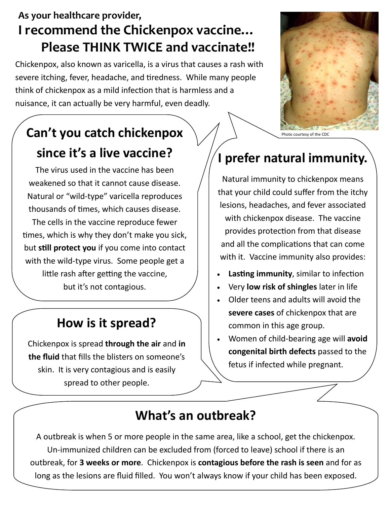#### **As your healthcare provider, I recommend the Chickenpox vaccine… Please THINK TWICE and vaccinate!!**

Chickenpox, also known as varicella, is a virus that causes a rash with severe itching, fever, headache, and tiredness. While many people think of chickenpox as a mild infection that is harmless and a nuisance, it can actually be very harmful, even deadly.

# **Can't you catch chickenpox since it's a live vaccine?**

The virus used in the vaccine has been weakened so that it cannot cause disease. Natural or "wild-type" varicella reproduces thousands of times, which causes disease. The cells in the vaccine reproduce fewer times, which is why they don't make you sick, but **still protect you** if you come into contact with the wild-type virus. Some people get a little rash after getting the vaccine, but it's not contagious.

### **How is it spread?**

Chickenpox is spread **through the air** and **in the fluid** that fills the blisters on someone's skin. It is very contagious and is easily spread to other people.



Photo courtesy of the CD

## **I prefer natural immunity.**

Natural immunity to chickenpox means that your child could suffer from the itchy lesions, headaches, and fever associated with chickenpox disease. The vaccine provides protection from that disease and all the complications that can come with it. Vaccine immunity also provides:

- **Lasting immunity**, similar to infection
- Very **low risk of shingles** later in life
- Older teens and adults will avoid the **severe cases** of chickenpox that are common in this age group.
- Women of child-bearing age will **avoid congenital birth defects** passed to the fetus if infected while pregnant.

#### **What's an outbreak?**

A outbreak is when 5 or more people in the same area, like a school, get the chickenpox. Un-immunized children can be excluded from (forced to leave) school if there is an outbreak, for **3 weeks or more**. Chickenpox is **contagious before the rash is seen** and for as long as the lesions are fluid filled. You won't always know if your child has been exposed.